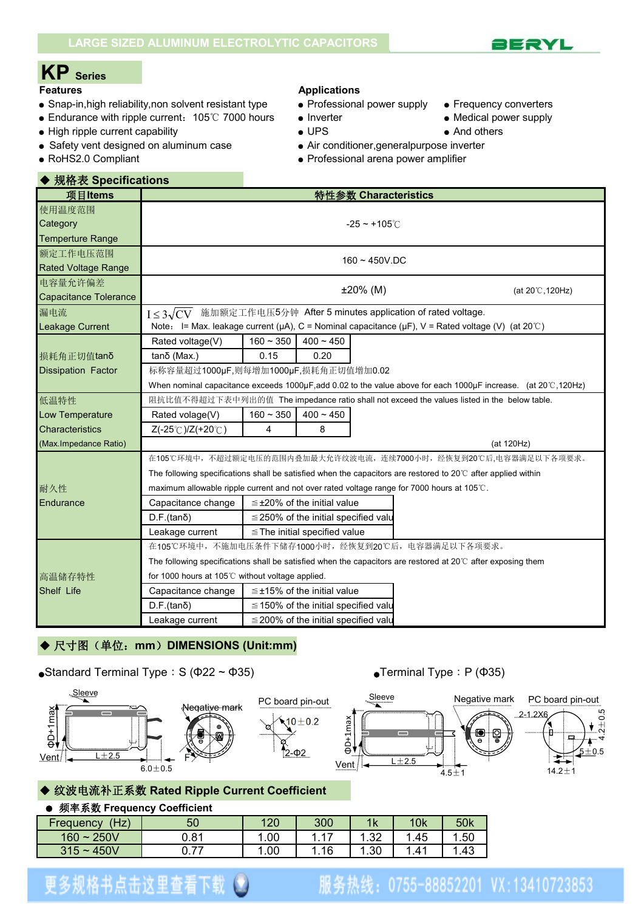

# **KP Series**

- Snap-in,high reliability,non solvent resistant type Professional power supply Frequency converters
- Endurance with ripple current: 105℃ 7000 hours Inverter Nedical power supply
- High ripple current capability  $\bullet$  UPS  $\bullet$  And others

◆ 规格表 **Specifications**

● Safety vent designed on aluminum case ● Air conditioner, generalpurpose inverter

### **Applications**

- 
- 
- 

- 
- 
- RoHS2.0 Compliant 
Professional arena power amplifier

| 使用温度范围<br>Category<br>$-25 \sim +105^{\circ}$ C                                                                                  |
|----------------------------------------------------------------------------------------------------------------------------------|
|                                                                                                                                  |
|                                                                                                                                  |
| <b>Temperture Range</b>                                                                                                          |
| 额定工作电压范围<br>$160 \sim 450$ V.DC                                                                                                  |
| <b>Rated Voltage Range</b>                                                                                                       |
| 电容量允许偏差<br>$±20\%$ (M)<br>(at $20^{\circ}$ C, 120Hz)                                                                             |
| <b>Capacitance Tolerance</b>                                                                                                     |
| 施加额定工作电压5分钟 After 5 minutes application of rated voltage.<br>漏电流<br>$I \leq 3\sqrt{CV}$                                          |
| Note: I= Max. leakage current ( $\mu$ A), C = Nominal capacitance ( $\mu$ F), V = Rated voltage (V) (at 20°C)<br>Leakage Current |
| Rated voltage(V)<br>$160 - 350$<br>$400 - 450$                                                                                   |
| $tanδ$ (Max.)<br>0.15<br>0.20<br>损耗角正切值tanδ                                                                                      |
| 标称容量超过1000µF,则每增加1000µF,损耗角正切值增加0.02<br><b>Dissipation Factor</b>                                                                |
| When nominal capacitance exceeds 1000µF,add 0.02 to the value above for each 1000µF increase. (at 20°C,120Hz)                    |
| 阻抗比值不得超过下表中列出的值 The impedance ratio shall not exceed the values listed in the below table.<br>低温特性                               |
| $160 - 350$<br>$400 - 450$<br><b>Low Temperature</b><br>Rated volage(V)                                                          |
| <b>Characteristics</b><br>8<br>$Z(-25^{\circ}C)/Z(+20^{\circ}C)$<br>4                                                            |
| (Max.Impedance Ratio)<br>(at 120Hz)                                                                                              |
| 在105℃环境中,不超过额定电压的范围内叠加最大允许纹波电流,连续7000小时,经恢复到20℃后,电容器满足以下各项要求。                                                                    |
| The following specifications shall be satisfied when the capacitors are restored to 20 $\degree$ after applied within            |
| 耐久性<br>maximum allowable ripple current and not over rated voltage range for 7000 hours at 105 $\degree$ C.                      |
| Endurance<br>$\leq$ ±20% of the initial value<br>Capacitance change                                                              |
| $D.F.(tan\delta)$<br>$\leq$ 250% of the initial specified valu                                                                   |
| Leakage current<br>$\le$ The initial specified value                                                                             |
| 在105℃环境中,不施加电压条件下储存1000小时,经恢复到20℃后,电容器满足以下各项要求。                                                                                  |
| The following specifications shall be satisfied when the capacitors are restored at $20^{\circ}$ after exposing them             |
| for 1000 hours at 105℃ without voltage applied.<br>高温储存特性                                                                        |
| <b>Shelf Life</b><br>Capacitance change<br>$\leq \pm 15\%$ of the initial value                                                  |
| $D.F.(tan\delta)$<br>$\leq$ 150% of the initial specified value                                                                  |
| Leakage current<br>$\leq$ 200% of the initial specified valu                                                                     |

### ◆ 尺寸图(单位: mm) DIMENSIONS (Unit:mm)

### •Standard Terminal Type: S ( $\Phi$ 22 ~  $\Phi$ 35) • Terminal Type: P ( $\Phi$ 35)



### ◆ 纹波电流补正系数 **Rated Ripple Current Coefficient**

### ● 频率系数 **Frequency Coefficient** Frequency (Hz) | 50 | 120 | 300 | 1k | 10k | 50k 160~250V 0.81 1.00 1.17 1.32 1.45 1.50 315~450V 0.77 | 1.00 | 1.16 | 1.30 | 1.41 | 1.43 |

# 更多规格书点击这里查看下载

# 服务热线: 0755-88852201 VX:13410723853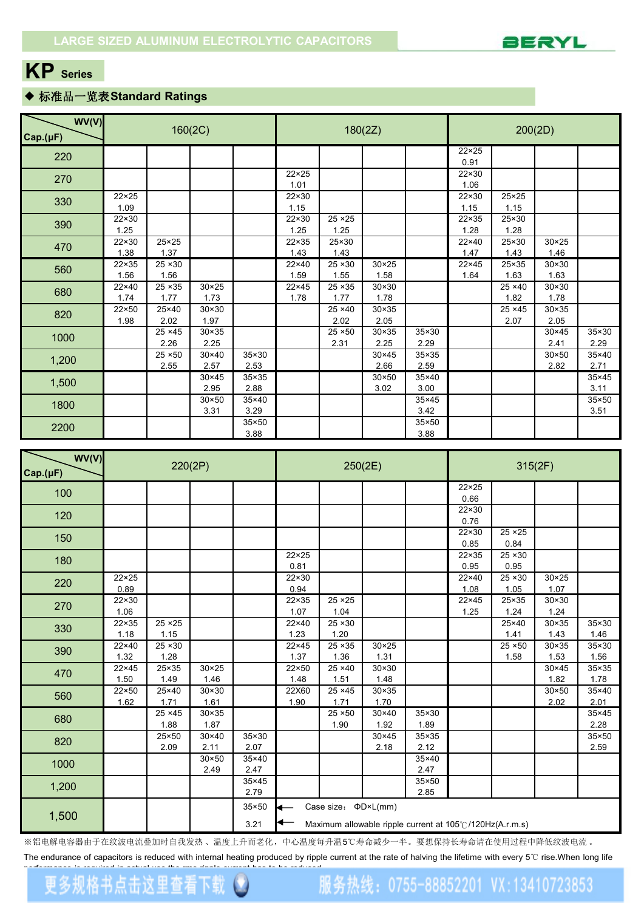

# **KP Series**

## ◆ 标准品一览表**Standard Ratings**

| WV(V)<br>Cap.(µF) |                        |                        | 160(2C)                |                        |                        |                        | 180(2Z)                |                        | 200(2D)                |                        |                        |                        |  |
|-------------------|------------------------|------------------------|------------------------|------------------------|------------------------|------------------------|------------------------|------------------------|------------------------|------------------------|------------------------|------------------------|--|
| 220               |                        |                        |                        |                        |                        |                        |                        |                        | $22 \times 25$<br>0.91 |                        |                        |                        |  |
| 270               |                        |                        |                        |                        | $22 \times 25$<br>1.01 |                        |                        |                        | 22×30<br>1.06          |                        |                        |                        |  |
| 330               | $22 \times 25$<br>1.09 |                        |                        |                        | $22 \times 30$<br>1.15 |                        |                        |                        | $22 \times 30$<br>1.15 | $25 \times 25$<br>1.15 |                        |                        |  |
| 390               | 22×30<br>1.25          |                        |                        |                        | 22×30<br>1.25          | 25 × 25<br>1.25        |                        |                        | $22 \times 35$<br>1.28 | 25×30<br>1.28          |                        |                        |  |
| 470               | 22×30<br>1.38          | 25×25<br>1.37          |                        |                        | 22×35<br>1.43          | 25×30<br>1.43          |                        |                        | 22×40<br>1.47          | 25×30<br>1.43          | $30 \times 25$<br>1.46 |                        |  |
| 560               | 22×35<br>1.56          | 25 × 30<br>1.56        |                        |                        | 22×40<br>1.59          | 25 × 30<br>1.55        | $30 \times 25$<br>1.58 |                        | $22 \times 45$<br>1.64 | 25×35<br>1.63          | $30 \times 30$<br>1.63 |                        |  |
| 680               | 22×40<br>1.74          | 25 × 35<br>1.77        | $30 \times 25$<br>1.73 |                        | $22 \times 45$<br>1.78 | $25 \times 35$<br>1.77 | $30 \times 30$<br>1.78 |                        |                        | $25 \times 40$<br>1.82 | $30 \times 30$<br>1.78 |                        |  |
| 820               | 22×50<br>1.98          | 25×40<br>2.02          | $30 \times 30$<br>1.97 |                        |                        | $25 \times 40$<br>2.02 | $30 \times 35$<br>2.05 |                        |                        | 25 × 45<br>2.07        | $30 \times 35$<br>2.05 |                        |  |
| 1000              |                        | $25 \times 45$<br>2.26 | $30 \times 35$<br>2.25 |                        |                        | $25 \times 50$<br>2.31 | $30 \times 35$<br>2.25 | $35 \times 30$<br>2.29 |                        |                        | $30 \times 45$<br>2.41 | $35 \times 30$<br>2.29 |  |
| 1,200             |                        | $25 \times 50$<br>2.55 | $30 \times 40$<br>2.57 | 35×30<br>2.53          |                        |                        | $30 \times 45$<br>2.66 | $35 \times 35$<br>2.59 |                        |                        | $30 \times 50$<br>2.82 | 35×40<br>2.71          |  |
| 1,500             |                        |                        | $30 \times 45$<br>2.95 | $35 \times 35$<br>2.88 |                        |                        | $30 \times 50$<br>3.02 | $35\times40$<br>3.00   |                        |                        |                        | 35×45<br>3.11          |  |
| 1800              |                        |                        | $30 \times 50$<br>3.31 | $35 \times 40$<br>3.29 |                        |                        |                        | 35×45<br>3.42          |                        |                        |                        | 35×50<br>3.51          |  |
| 2200              |                        |                        |                        | $35 \times 50$<br>3.88 |                        |                        |                        | $35 \times 50$<br>3.88 |                        |                        |                        |                        |  |

| WV(V)    |                |                | 220(2P)        |                |                |                                   | 250(2E)                   |                | 315(2F)                                                  |                     |                           |       |  |
|----------|----------------|----------------|----------------|----------------|----------------|-----------------------------------|---------------------------|----------------|----------------------------------------------------------|---------------------|---------------------------|-------|--|
| Cap.(µF) |                |                |                |                |                |                                   |                           |                | $22 \times 25$                                           |                     |                           |       |  |
| 100      |                |                |                |                |                |                                   |                           |                | 0.66                                                     |                     |                           |       |  |
| 120      |                |                |                |                |                |                                   |                           |                | 22×30                                                    |                     |                           |       |  |
|          |                |                |                |                |                |                                   |                           |                | 0.76<br>22×30                                            | $25 \times 25$      |                           |       |  |
| 150      |                |                |                |                |                |                                   |                           |                | 0.85                                                     | 0.84                |                           |       |  |
| 180      |                |                |                |                | $22 \times 25$ |                                   |                           |                | $22 \times 35$                                           | $25 \times 30$      |                           |       |  |
|          |                |                |                |                | 0.81           |                                   |                           |                | 0.95                                                     | 0.95                |                           |       |  |
| 220      | $22 \times 25$ |                |                |                | 22×30          |                                   |                           |                | 22×40                                                    | $25 \times 30$      | $\overline{30} \times 25$ |       |  |
|          | 0.89           |                |                |                | 0.94           |                                   |                           |                | 1.08                                                     | 1.05                | 1.07                      |       |  |
| 270      | 22×30          |                |                |                | $22 \times 35$ | $25 \times 25$                    |                           |                | $22 \times 45$                                           | 25×35               | $30 \times 30$            |       |  |
|          | 1.06           |                |                |                | 1.07           | 1.04                              |                           |                | 1.25                                                     | 1.24                | 1.24                      |       |  |
| 330      | $22 \times 35$ | 25 × 25        |                |                | $22\times 40$  | $25 \times 30$                    |                           |                |                                                          | 25×40               | $30 \times 35$            | 35×30 |  |
|          | 1.18           | 1.15           |                |                | 1.23           | 1.20                              |                           |                |                                                          | 1.41                | 1.43                      | 1.46  |  |
| 390      | $22\times 40$  | $25 \times 30$ |                |                | $22 \times 45$ | $25 \times 35$                    | $30 \times 25$            |                |                                                          | $\overline{25}$ ×50 | $30 \times 35$            | 35×30 |  |
|          | 1.32           | 1.28           |                |                | 1.37           | 1.36                              | 1.31                      |                |                                                          | 1.58                | 1.53                      | 1.56  |  |
| 470      | 22×45          | 25×35          | $30 \times 25$ |                | 22×50          | $25 \times 40$                    | $30 \times 30$            |                |                                                          |                     | $30 \times 45$            | 35×35 |  |
|          | 1.50           | 1.49           | 1.46           |                | 1.48           | 1.51                              | 1.48                      |                |                                                          |                     | 1.82                      | 1.78  |  |
| 560      | 22×50          | 25×40          | $30 \times 30$ |                | 22X60          | $25 \times 45$                    | $\overline{30} \times 35$ |                |                                                          |                     | $30 \times 50$            | 35×40 |  |
|          | 1.62           | 1.71           | 1.61           |                | 1.90           | 1.71                              | 1.70                      |                |                                                          |                     | 2.02                      | 2.01  |  |
| 680      |                | 25 × 45        | $30 \times 35$ |                |                | $25 \times 50$                    | $30 \times 40$            | 35×30          |                                                          |                     |                           | 35×45 |  |
|          |                | 1.88           | 1.87           |                |                | 1.90                              | 1.92                      | 1.89           |                                                          |                     |                           | 2.28  |  |
| 820      |                | 25×50          | $30 \times 40$ | $35 \times 30$ |                |                                   | $30 \times 45$            | 35×35          |                                                          |                     |                           | 35×50 |  |
|          |                | 2.09           | 2.11           | 2.07           |                |                                   | 2.18                      | 2.12           |                                                          |                     |                           | 2.59  |  |
| 1000     |                |                | $30 \times 50$ | 35×40          |                |                                   |                           | $35 \times 40$ |                                                          |                     |                           |       |  |
|          |                |                | 2.49           | 2.47           |                |                                   |                           | 2.47           |                                                          |                     |                           |       |  |
| 1,200    |                |                |                | $35 \times 45$ |                |                                   |                           | 35×50          |                                                          |                     |                           |       |  |
|          |                |                |                | 2.79           |                |                                   |                           | 2.85           |                                                          |                     |                           |       |  |
|          |                |                |                | $35 \times 50$ |                | Case size: $\Phi D \times L$ (mm) |                           |                |                                                          |                     |                           |       |  |
| 1,500    |                |                |                | 3.21           |                |                                   |                           |                | Maximum allowable ripple current at 105°C/120Hz(A.r.m.s) |                     |                           |       |  |

※铝电解电容器由于在纹波电流叠加时自我发热 、温度上升而老化,中心温度每升温5℃寿命减少一半。要想保持长寿命请在使用过程中降低纹波电流 。

The endurance of capacitors is reduced with internal heating produced by ripple current at the rate of halving the lifetime with every 5℃ rise.When long life

服务热线: 0755-88852201 VX:13410723853

[performance](http://www.ipengs.com/download/) isrequired in actual use,the rms ripple current has to be reduced.